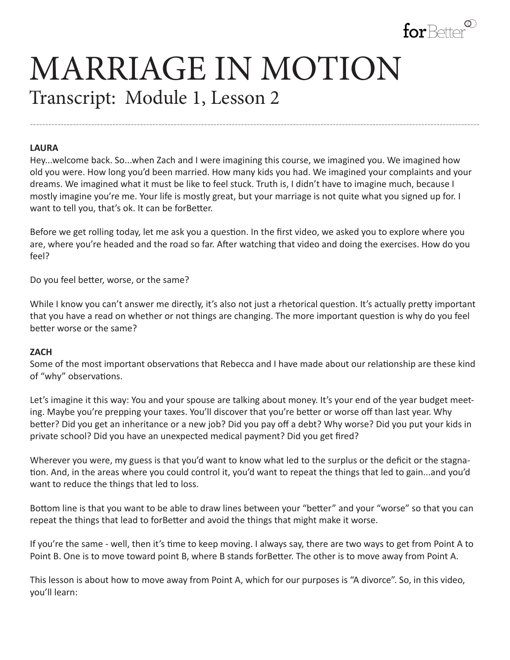

# MARRIAGE IN MOTION Transcript: Module 1, Lesson 2

#### **LAURA**

Hey...welcome back. So...when Zach and I were imagining this course, we imagined you. We imagined how old you were. How long you'd been married. How many kids you had. We imagined your complaints and your dreams. We imagined what it must be like to feel stuck. Truth is, I didn't have to imagine much, because I mostly imagine you're me. Your life is mostly great, but your marriage is not quite what you signed up for. I want to tell you, that's ok. It can be forBetter.

---------------------------------------------------------------------------------------------------------------------------------------------------

Before we get rolling today, let me ask you a question. In the first video, we asked you to explore where you are, where you're headed and the road so far. After watching that video and doing the exercises. How do you feel?

Do you feel better, worse, or the same?

While I know you can't answer me directly, it's also not just a rhetorical question. It's actually pretty important that you have a read on whether or not things are changing. The more important question is why do you feel better worse or the same?

#### **ZACH**

Some of the most important observations that Rebecca and I have made about our relationship are these kind of "why" observations.

Let's imagine it this way: You and your spouse are talking about money. It's your end of the year budget meeting. Maybe you're prepping your taxes. You'll discover that you're better or worse off than last year. Why better? Did you get an inheritance or a new job? Did you pay off a debt? Why worse? Did you put your kids in private school? Did you have an unexpected medical payment? Did you get fired?

Wherever you were, my guess is that you'd want to know what led to the surplus or the deficit or the stagnation. And, in the areas where you could control it, you'd want to repeat the things that led to gain...and you'd want to reduce the things that led to loss.

Bottom line is that you want to be able to draw lines between your "better" and your "worse" so that you can repeat the things that lead to forBetter and avoid the things that might make it worse.

If you're the same - well, then it's time to keep moving. I always say, there are two ways to get from Point A to Point B. One is to move toward point B, where B stands forBetter. The other is to move away from Point A.

This lesson is about how to move away from Point A, which for our purposes is "A divorce". So, in this video, you'll learn: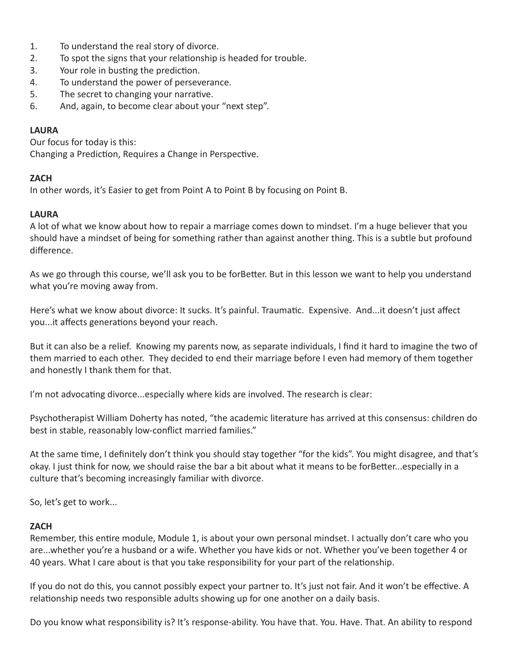- 1. To understand the real story of divorce.
- 2. To spot the signs that your relationship is headed for trouble.
- 3. Your role in busting the prediction.
- 4. To understand the power of perseverance.
- 5. The secret to changing your narrative.
- 6. And, again, to become clear about your "next step".

## **LAURA**

Our focus for today is this: Changing a Prediction, Requires a Change in Perspective.

## **ZACH**

In other words, it's Easier to get from Point A to Point B by focusing on Point B.

## **LAURA**

A lot of what we know about how to repair a marriage comes down to mindset. I'm a huge believer that you should have a mindset of being for something rather than against another thing. This is a subtle but profound difference.

As we go through this course, we'll ask you to be forBetter. But in this lesson we want to help you understand what you're moving away from.

Here's what we know about divorce: It sucks. It's painful. Traumatic. Expensive. And...it doesn't just affect you...it affects generations beyond your reach.

But it can also be a relief. Knowing my parents now, as separate individuals, I find it hard to imagine the two of them married to each other. They decided to end their marriage before I even had memory of them together and honestly I thank them for that.

I'm not advocating divorce...especially where kids are involved. The research is clear:

Psychotherapist William Doherty has noted, "the academic literature has arrived at this consensus: children do best in stable, reasonably low-conflict married families."

At the same time, I definitely don't think you should stay together "for the kids". You might disagree, and that's okay. I just think for now, we should raise the bar a bit about what it means to be forBetter...especially in a culture that's becoming increasingly familiar with divorce.

So, let's get to work...

## **ZACH**

Remember, this entire module, Module 1, is about your own personal mindset. I actually don't care who you are...whether you're a husband or a wife. Whether you have kids or not. Whether you've been together 4 or 40 years. What I care about is that you take responsibility for your part of the relationship.

If you do not do this, you cannot possibly expect your partner to. It's just not fair. And it won't be effective. A relationship needs two responsible adults showing up for one another on a daily basis.

Do you know what responsibility is? It's response-ability. You have that. You. Have. That. An ability to respond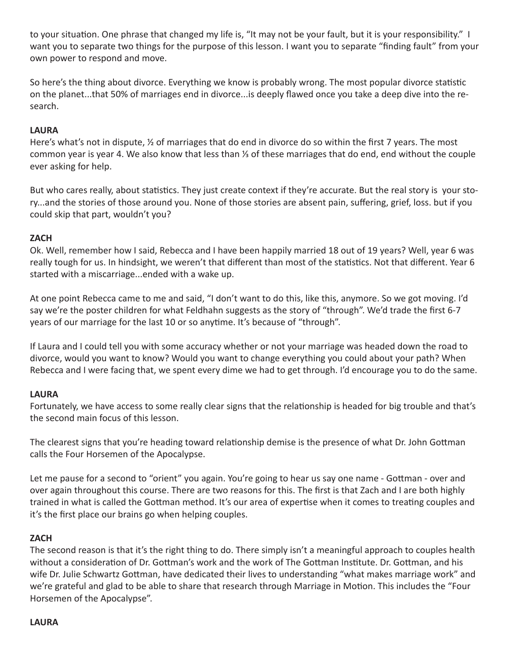to your situation. One phrase that changed my life is, "It may not be your fault, but it is your responsibility." I want you to separate two things for the purpose of this lesson. I want you to separate "finding fault" from your own power to respond and move.

So here's the thing about divorce. Everything we know is probably wrong. The most popular divorce statistic on the planet...that 50% of marriages end in divorce...is deeply flawed once you take a deep dive into the research.

# **LAURA**

Here's what's not in dispute, ½ of marriages that do end in divorce do so within the first 7 years. The most common year is year 4. We also know that less than ⅓ of these marriages that do end, end without the couple ever asking for help.

But who cares really, about statistics. They just create context if they're accurate. But the real story is your story...and the stories of those around you. None of those stories are absent pain, suffering, grief, loss. but if you could skip that part, wouldn't you?

## **ZACH**

Ok. Well, remember how I said, Rebecca and I have been happily married 18 out of 19 years? Well, year 6 was really tough for us. In hindsight, we weren't that different than most of the statistics. Not that different. Year 6 started with a miscarriage...ended with a wake up.

At one point Rebecca came to me and said, "I don't want to do this, like this, anymore. So we got moving. I'd say we're the poster children for what Feldhahn suggests as the story of "through". We'd trade the first 6-7 years of our marriage for the last 10 or so anytime. It's because of "through".

If Laura and I could tell you with some accuracy whether or not your marriage was headed down the road to divorce, would you want to know? Would you want to change everything you could about your path? When Rebecca and I were facing that, we spent every dime we had to get through. I'd encourage you to do the same.

## **LAURA**

Fortunately, we have access to some really clear signs that the relationship is headed for big trouble and that's the second main focus of this lesson.

The clearest signs that you're heading toward relationship demise is the presence of what Dr. John Gottman calls the Four Horsemen of the Apocalypse.

Let me pause for a second to "orient" you again. You're going to hear us say one name - Gottman - over and over again throughout this course. There are two reasons for this. The first is that Zach and I are both highly trained in what is called the Gottman method. It's our area of expertise when it comes to treating couples and it's the first place our brains go when helping couples.

## **ZACH**

The second reason is that it's the right thing to do. There simply isn't a meaningful approach to couples health without a consideration of Dr. Gottman's work and the work of The Gottman Institute. Dr. Gottman, and his wife Dr. Julie Schwartz Gottman, have dedicated their lives to understanding "what makes marriage work" and we're grateful and glad to be able to share that research through Marriage in Motion. This includes the "Four Horsemen of the Apocalypse".

#### **LAURA**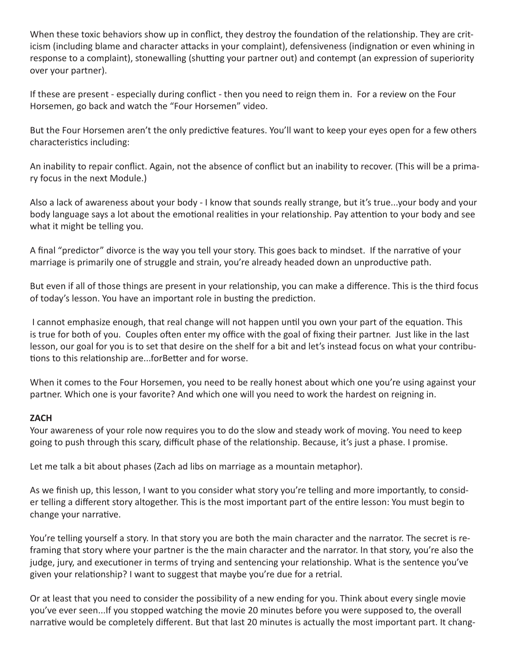When these toxic behaviors show up in conflict, they destroy the foundation of the relationship. They are criticism (including blame and character attacks in your complaint), defensiveness (indignation or even whining in response to a complaint), stonewalling (shutting your partner out) and contempt (an expression of superiority over your partner).

If these are present - especially during conflict - then you need to reign them in. For a review on the Four Horsemen, go back and watch the "Four Horsemen" video.

But the Four Horsemen aren't the only predictive features. You'll want to keep your eyes open for a few others characteristics including:

An inability to repair conflict. Again, not the absence of conflict but an inability to recover. (This will be a primary focus in the next Module.)

Also a lack of awareness about your body - I know that sounds really strange, but it's true...your body and your body language says a lot about the emotional realities in your relationship. Pay attention to your body and see what it might be telling you.

A final "predictor" divorce is the way you tell your story. This goes back to mindset. If the narrative of your marriage is primarily one of struggle and strain, you're already headed down an unproductive path.

But even if all of those things are present in your relationship, you can make a difference. This is the third focus of today's lesson. You have an important role in busting the prediction.

 I cannot emphasize enough, that real change will not happen until you own your part of the equation. This is true for both of you. Couples often enter my office with the goal of fixing their partner. Just like in the last lesson, our goal for you is to set that desire on the shelf for a bit and let's instead focus on what your contributions to this relationship are...forBetter and for worse.

When it comes to the Four Horsemen, you need to be really honest about which one you're using against your partner. Which one is your favorite? And which one will you need to work the hardest on reigning in.

## **ZACH**

Your awareness of your role now requires you to do the slow and steady work of moving. You need to keep going to push through this scary, difficult phase of the relationship. Because, it's just a phase. I promise.

Let me talk a bit about phases (Zach ad libs on marriage as a mountain metaphor).

As we finish up, this lesson, I want to you consider what story you're telling and more importantly, to consider telling a different story altogether. This is the most important part of the entire lesson: You must begin to change your narrative.

You're telling yourself a story. In that story you are both the main character and the narrator. The secret is reframing that story where your partner is the the main character and the narrator. In that story, you're also the judge, jury, and executioner in terms of trying and sentencing your relationship. What is the sentence you've given your relationship? I want to suggest that maybe you're due for a retrial.

Or at least that you need to consider the possibility of a new ending for you. Think about every single movie you've ever seen...If you stopped watching the movie 20 minutes before you were supposed to, the overall narrative would be completely different. But that last 20 minutes is actually the most important part. It chang